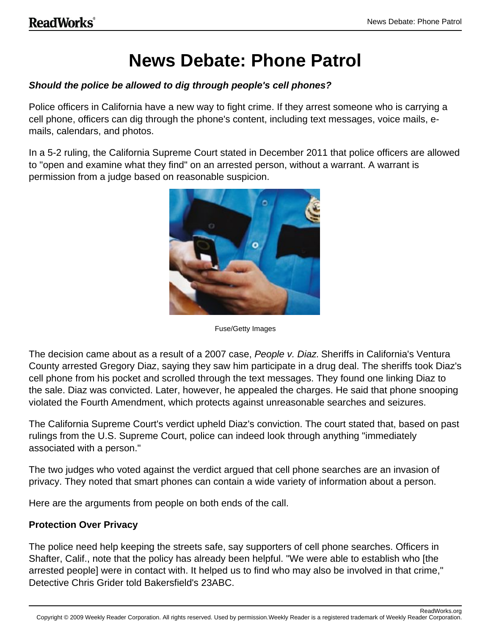# **News Debate: Phone Patrol**

### **Should the police be allowed to dig through people's cell phones?**

Police officers in California have a new way to fight crime. If they arrest someone who is carrying a cell phone, officers can dig through the phone's content, including text messages, voice mails, emails, calendars, and photos.

In a 5-2 ruling, the California Supreme Court stated in December 2011 that police officers are allowed to "open and examine what they find" on an arrested person, without a warrant. A warrant is permission from a judge based on reasonable suspicion.



Fuse/Getty Images

The decision came about as a result of a 2007 case, People v. Diaz. Sheriffs in California's Ventura County arrested Gregory Diaz, saying they saw him participate in a drug deal. The sheriffs took Diaz's cell phone from his pocket and scrolled through the text messages. They found one linking Diaz to the sale. Diaz was convicted. Later, however, he appealed the charges. He said that phone snooping violated the Fourth Amendment, which protects against unreasonable searches and seizures.

The California Supreme Court's verdict upheld Diaz's conviction. The court stated that, based on past rulings from the U.S. Supreme Court, police can indeed look through anything "immediately associated with a person."

The two judges who voted against the verdict argued that cell phone searches are an invasion of privacy. They noted that smart phones can contain a wide variety of information about a person.

Here are the arguments from people on both ends of the call.

#### **Protection Over Privacy**

The police need help keeping the streets safe, say supporters of cell phone searches. Officers in Shafter, Calif., note that the policy has already been helpful. "We were able to establish who [the arrested people] were in contact with. It helped us to find who may also be involved in that crime," Detective Chris Grider told Bakersfield's 23ABC.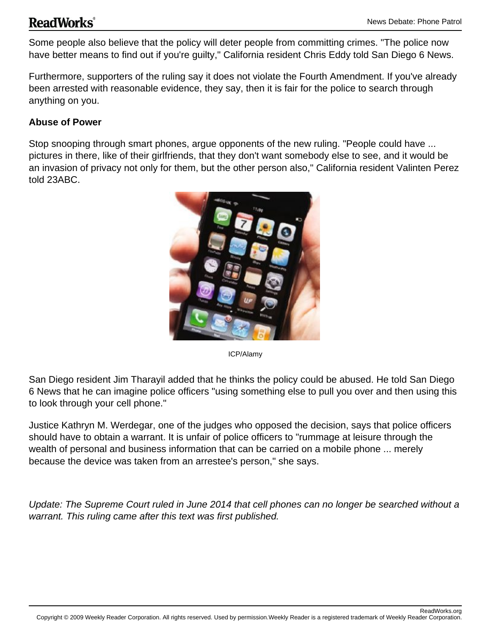# **ReadWorks**®

Some people also believe that the policy will deter people from committing crimes. "The police now have better means to find out if you're guilty," California resident Chris Eddy told San Diego 6 News.

Furthermore, supporters of the ruling say it does not violate the Fourth Amendment. If you've already been arrested with reasonable evidence, they say, then it is fair for the police to search through anything on you.

## **Abuse of Power**

Stop snooping through smart phones, argue opponents of the new ruling. "People could have ... pictures in there, like of their girlfriends, that they don't want somebody else to see, and it would be an invasion of privacy not only for them, but the other person also," California resident Valinten Perez told 23ABC.



ICP/Alamy

San Diego resident Jim Tharayil added that he thinks the policy could be abused. He told San Diego 6 News that he can imagine police officers "using something else to pull you over and then using this to look through your cell phone."

Justice Kathryn M. Werdegar, one of the judges who opposed the decision, says that police officers should have to obtain a warrant. It is unfair of police officers to "rummage at leisure through the wealth of personal and business information that can be carried on a mobile phone ... merely because the device was taken from an arrestee's person," she says.

Update: The Supreme Court ruled in June 2014 that cell phones can no longer be searched without a warrant. This ruling came after this text was first published.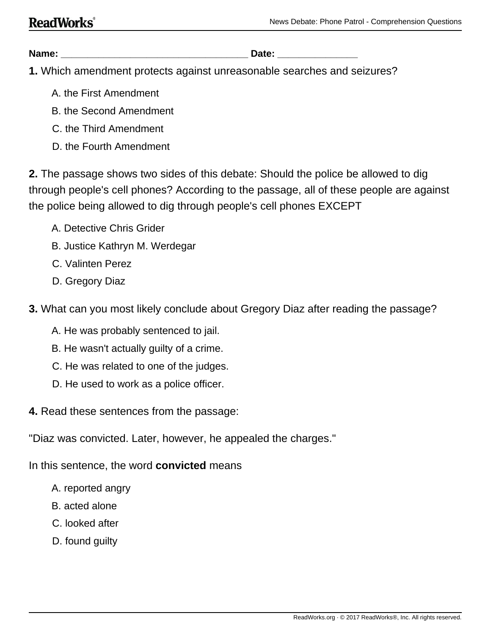**Name: \_\_\_\_\_\_\_\_\_\_\_\_\_\_\_\_\_\_\_\_\_\_\_\_\_\_\_\_\_\_\_\_\_\_\_ Date: \_\_\_\_\_\_\_\_\_\_\_\_\_\_\_**

**1.** Which amendment protects against unreasonable searches and seizures?

- A. the First Amendment
- B. the Second Amendment
- C. the Third Amendment
- D. the Fourth Amendment

**2.** The passage shows two sides of this debate: Should the police be allowed to dig through people's cell phones? According to the passage, all of these people are against the police being allowed to dig through people's cell phones EXCEPT

- A. Detective Chris Grider
- B. Justice Kathryn M. Werdegar
- C. Valinten Perez
- D. Gregory Diaz
- **3.** What can you most likely conclude about Gregory Diaz after reading the passage?
	- A. He was probably sentenced to jail.
	- B. He wasn't actually guilty of a crime.
	- C. He was related to one of the judges.
	- D. He used to work as a police officer.
- **4.** Read these sentences from the passage:
- "Diaz was convicted. Later, however, he appealed the charges."

In this sentence, the word **convicted** means

- A. reported angry
- B. acted alone
- C. looked after
- D. found guilty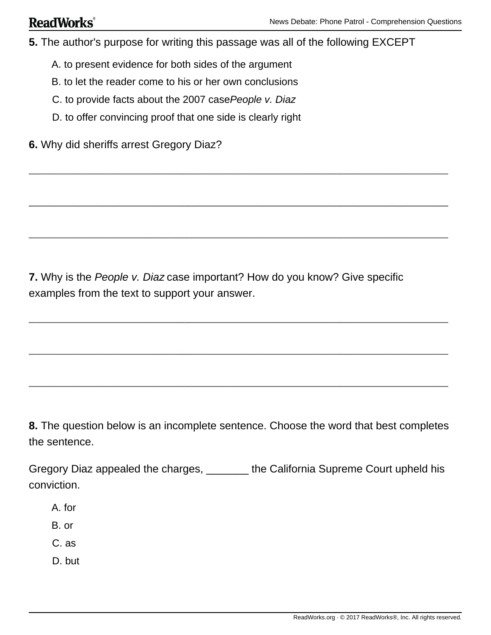**5.** The author's purpose for writing this passage was all of the following EXCEPT

- A. to present evidence for both sides of the argument
- B. to let the reader come to his or her own conclusions
- C. to provide facts about the 2007 case People v. Diaz
- D. to offer convincing proof that one side is clearly right
- **6.** Why did sheriffs arrest Gregory Diaz?

**7.** Why is the People v. Diaz case important? How do you know? Give specific examples from the text to support your answer.

**8.** The question below is an incomplete sentence. Choose the word that best completes the sentence.

Gregory Diaz appealed the charges, \_\_\_\_\_\_\_ the California Supreme Court upheld his conviction.

- A. for
- B. or
- C. as
- D. but